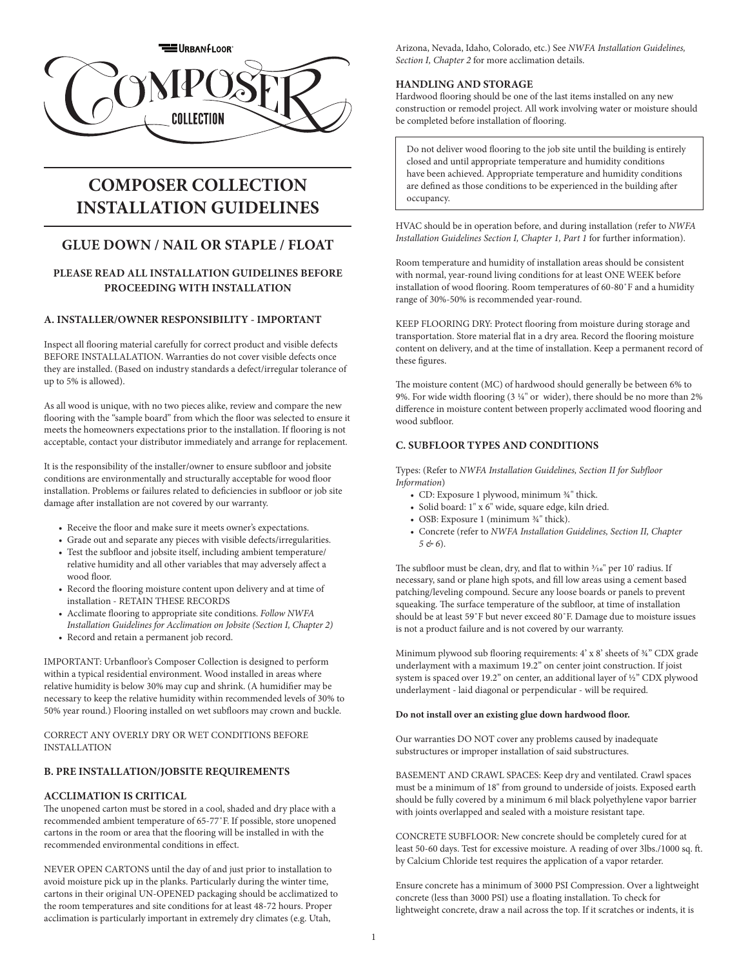

# **COMPOSER COLLECTION INSTALLATION GUIDELINES**

## **GLUE DOWN / NAIL OR STAPLE / FLOAT**

## **PLEASE READ ALL INSTALLATION GUIDELINES BEFORE PROCEEDING WITH INSTALLATION**

## **A. INSTALLER/OWNER RESPONSIBILITY - IMPORTANT**

Inspect all flooring material carefully for correct product and visible defects BEFORE INSTALLALATION. Warranties do not cover visible defects once they are installed. (Based on industry standards a defect/irregular tolerance of up to 5% is allowed).

As all wood is unique, with no two pieces alike, review and compare the new flooring with the "sample board" from which the floor was selected to ensure it meets the homeowners expectations prior to the installation. If flooring is not acceptable, contact your distributor immediately and arrange for replacement.

It is the responsibility of the installer/owner to ensure subfloor and jobsite conditions are environmentally and structurally acceptable for wood floor installation. Problems or failures related to deficiencies in subfloor or job site damage after installation are not covered by our warranty.

- Receive the floor and make sure it meets owner's expectations.
- Grade out and separate any pieces with visible defects/irregularities. • Test the subfloor and jobsite itself, including ambient temperature/ relative humidity and all other variables that may adversely affect a wood floor.
- Record the flooring moisture content upon delivery and at time of installation - RETAIN THESE RECORDS
- Acclimate flooring to appropriate site conditions. *Follow NWFA Installation Guidelines for Acclimation on Jobsite (Section I, Chapter 2)*
- Record and retain a permanent job record.

IMPORTANT: Urbanfloor's Composer Collection is designed to perform within a typical residential environment. Wood installed in areas where relative humidity is below 30% may cup and shrink. (A humidifier may be necessary to keep the relative humidity within recommended levels of 30% to 50% year round.) Flooring installed on wet subfloors may crown and buckle.

CORRECT ANY OVERLY DRY OR WET CONDITIONS BEFORE INSTALLATION

## **B. PRE INSTALLATION/JOBSITE REQUIREMENTS**

## **ACCLIMATION IS CRITICAL**

The unopened carton must be stored in a cool, shaded and dry place with a recommended ambient temperature of 65-77˚F. If possible, store unopened cartons in the room or area that the flooring will be installed in with the recommended environmental conditions in effect.

NEVER OPEN CARTONS until the day of and just prior to installation to avoid moisture pick up in the planks. Particularly during the winter time, cartons in their original UN-OPENED packaging should be acclimatized to the room temperatures and site conditions for at least 48-72 hours. Proper acclimation is particularly important in extremely dry climates (e.g. Utah,

Arizona, Nevada, Idaho, Colorado, etc.) See *NWFA Installation Guidelines, Section I, Chapter 2* for more acclimation details.

## **HANDLING AND STORAGE**

Hardwood flooring should be one of the last items installed on any new construction or remodel project. All work involving water or moisture should be completed before installation of flooring.

Do not deliver wood flooring to the job site until the building is entirely closed and until appropriate temperature and humidity conditions have been achieved. Appropriate temperature and humidity conditions are defined as those conditions to be experienced in the building after occupancy.

HVAC should be in operation before, and during installation (refer to *NWFA Installation Guidelines Section I, Chapter 1, Part 1* for further information).

Room temperature and humidity of installation areas should be consistent with normal, year-round living conditions for at least ONE WEEK before installation of wood flooring. Room temperatures of 60-80˚F and a humidity range of 30%-50% is recommended year-round.

KEEP FLOORING DRY: Protect flooring from moisture during storage and transportation. Store material flat in a dry area. Record the flooring moisture content on delivery, and at the time of installation. Keep a permanent record of these figures.

The moisture content (MC) of hardwood should generally be between 6% to 9%. For wide width flooring (3 1/4" or wider), there should be no more than 2% difference in moisture content between properly acclimated wood flooring and wood subfloor.

## **C. SUBFLOOR TYPES AND CONDITIONS**

Types: (Refer to *NWFA Installation Guidelines, Section II for Subfloor Information*)

- CD: Exposure 1 plywood, minimum 34" thick.
- Solid board: 1" x 6" wide, square edge, kiln dried.
- OSB: Exposure 1 (minimum  $\frac{3}{4}$ " thick).
- Concrete (refer to *NWFA Installation Guidelines, Section II, Chapter 5 & 6*).

The subfloor must be clean, dry, and flat to within  $\frac{3}{16}$ " per 10' radius. If necessary, sand or plane high spots, and fill low areas using a cement based patching/leveling compound. Secure any loose boards or panels to prevent squeaking. The surface temperature of the subfloor, at time of installation should be at least 59˚F but never exceed 80˚F. Damage due to moisture issues is not a product failure and is not covered by our warranty.

Minimum plywood sub flooring requirements: 4' x 8' sheets of ¾" CDX grade underlayment with a maximum 19.2" on center joint construction. If joist system is spaced over 19.2" on center, an additional layer of ½" CDX plywood underlayment - laid diagonal or perpendicular - will be required.

#### **Do not install over an existing glue down hardwood floor.**

Our warranties DO NOT cover any problems caused by inadequate substructures or improper installation of said substructures.

BASEMENT AND CRAWL SPACES: Keep dry and ventilated. Crawl spaces must be a minimum of 18" from ground to underside of joists. Exposed earth should be fully covered by a minimum 6 mil black polyethylene vapor barrier with joints overlapped and sealed with a moisture resistant tape.

CONCRETE SUBFLOOR: New concrete should be completely cured for at least 50-60 days. Test for excessive moisture. A reading of over 3lbs./1000 sq. ft. by Calcium Chloride test requires the application of a vapor retarder.

Ensure concrete has a minimum of 3000 PSI Compression. Over a lightweight concrete (less than 3000 PSI) use a floating installation. To check for lightweight concrete, draw a nail across the top. If it scratches or indents, it is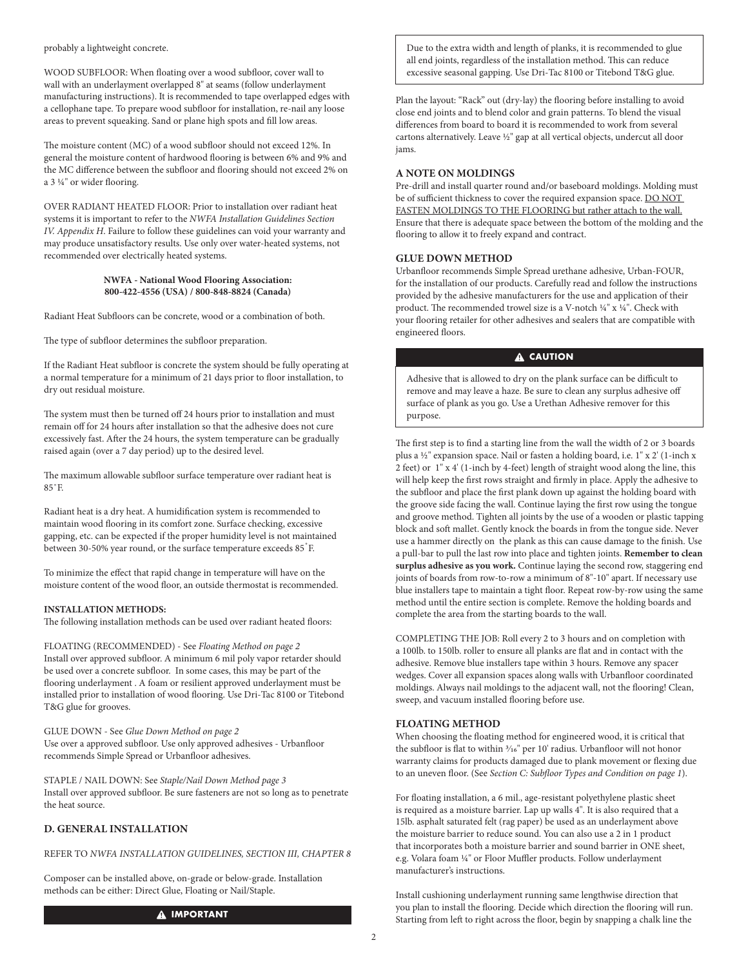probably a lightweight concrete.

WOOD SUBFLOOR: When floating over a wood subfloor, cover wall to wall with an underlayment overlapped 8" at seams (follow underlayment manufacturing instructions). It is recommended to tape overlapped edges with a cellophane tape. To prepare wood subfloor for installation, re-nail any loose areas to prevent squeaking. Sand or plane high spots and fill low areas.

The moisture content (MC) of a wood subfloor should not exceed 12%. In general the moisture content of hardwood flooring is between 6% and 9% and the MC difference between the subfloor and flooring should not exceed 2% on a 3 1/4" or wider flooring.

OVER RADIANT HEATED FLOOR: Prior to installation over radiant heat systems it is important to refer to the *NWFA Installation Guidelines Section IV. Appendix H*. Failure to follow these guidelines can void your warranty and may produce unsatisfactory results. Use only over water-heated systems, not recommended over electrically heated systems.

#### **NWFA - National Wood Flooring Association: 800-422-4556 (USA) / 800-848-8824 (Canada)**

Radiant Heat Subfloors can be concrete, wood or a combination of both.

The type of subfloor determines the subfloor preparation.

If the Radiant Heat subfloor is concrete the system should be fully operating at a normal temperature for a minimum of 21 days prior to floor installation, to dry out residual moisture.

The system must then be turned off 24 hours prior to installation and must remain off for 24 hours after installation so that the adhesive does not cure excessively fast. After the 24 hours, the system temperature can be gradually raised again (over a 7 day period) up to the desired level.

The maximum allowable subfloor surface temperature over radiant heat is  $85°E$ 

Radiant heat is a dry heat. A humidification system is recommended to maintain wood flooring in its comfort zone. Surface checking, excessive gapping, etc. can be expected if the proper humidity level is not maintained between 30-50% year round, or the surface temperature exceeds 85°F.

To minimize the effect that rapid change in temperature will have on the moisture content of the wood floor, an outside thermostat is recommended.

## **INSTALLATION METHODS:**

The following installation methods can be used over radiant heated floors:

FLOATING (RECOMMENDED) - See *Floating Method on page 2* Install over approved subfloor. A minimum 6 mil poly vapor retarder should be used over a concrete subfloor. In some cases, this may be part of the flooring underlayment . A foam or resilient approved underlayment must be installed prior to installation of wood flooring. Use Dri-Tac 8100 or Titebond T&G glue for grooves.

GLUE DOWN - See *Glue Down Method on page 2* Use over a approved subfloor. Use only approved adhesives - Urbanfloor recommends Simple Spread or Urbanfloor adhesives.

STAPLE / NAIL DOWN: See *Staple/Nail Down Method page 3* Install over approved subfloor. Be sure fasteners are not so long as to penetrate the heat source.

## **D. GENERAL INSTALLATION**

## REFER TO *NWFA INSTALLATION GUIDELINES, SECTION III, CHAPTER 8*

Composer can be installed above, on-grade or below-grade. Installation methods can be either: Direct Glue, Floating or Nail/Staple.

#### **A IMPORTANT**

Due to the extra width and length of planks, it is recommended to glue all end joints, regardless of the installation method. This can reduce excessive seasonal gapping. Use Dri-Tac 8100 or Titebond T&G glue.

Plan the layout: "Rack" out (dry-lay) the flooring before installing to avoid close end joints and to blend color and grain patterns. To blend the visual differences from board to board it is recommended to work from several cartons alternatively. Leave 1/2" gap at all vertical objects, undercut all door jams.

## **A NOTE ON MOLDINGS**

Pre-drill and install quarter round and/or baseboard moldings. Molding must be of sufficient thickness to cover the required expansion space. DO NOT FASTEN MOLDINGS TO THE FLOORING but rather attach to the wall. Ensure that there is adequate space between the bottom of the molding and the flooring to allow it to freely expand and contract.

#### **GLUE DOWN METHOD**

Urbanfloor recommends Simple Spread urethane adhesive, Urban-FOUR, for the installation of our products. Carefully read and follow the instructions provided by the adhesive manufacturers for the use and application of their product. The recommended trowel size is a V-notch 1/4" x 1/4". Check with your flooring retailer for other adhesives and sealers that are compatible with engineered floors.

## **A** CAUTION

Adhesive that is allowed to dry on the plank surface can be difficult to remove and may leave a haze. Be sure to clean any surplus adhesive off surface of plank as you go. Use a Urethan Adhesive remover for this purpose.

The first step is to find a starting line from the wall the width of 2 or 3 boards plus a 1/2" expansion space. Nail or fasten a holding board, i.e. 1" x 2' (1-inch x 2 feet) or 1" x 4' (1-inch by 4-feet) length of straight wood along the line, this will help keep the first rows straight and firmly in place. Apply the adhesive to the subfloor and place the first plank down up against the holding board with the groove side facing the wall. Continue laying the first row using the tongue and groove method. Tighten all joints by the use of a wooden or plastic tapping block and soft mallet. Gently knock the boards in from the tongue side. Never use a hammer directly on the plank as this can cause damage to the finish. Use a pull-bar to pull the last row into place and tighten joints. **Remember to clean surplus adhesive as you work.** Continue laying the second row, staggering end joints of boards from row-to-row a minimum of 8"-10" apart. If necessary use blue installers tape to maintain a tight floor. Repeat row-by-row using the same method until the entire section is complete. Remove the holding boards and complete the area from the starting boards to the wall.

COMPLETING THE JOB: Roll every 2 to 3 hours and on completion with a 100lb. to 150lb. roller to ensure all planks are flat and in contact with the adhesive. Remove blue installers tape within 3 hours. Remove any spacer wedges. Cover all expansion spaces along walls with Urbanfloor coordinated moldings. Always nail moldings to the adjacent wall, not the flooring! Clean, sweep, and vacuum installed flooring before use.

## **FLOATING METHOD**

When choosing the floating method for engineered wood, it is critical that the subfloor is flat to within 3/16" per 10' radius. Urbanfloor will not honor warranty claims for products damaged due to plank movement or flexing due to an uneven floor. (See *Section C: Subfloor Types and Condition on page 1*).

For floating installation, a 6 mil., age-resistant polyethylene plastic sheet is required as a moisture barrier. Lap up walls 4". It is also required that a 15lb. asphalt saturated felt (rag paper) be used as an underlayment above the moisture barrier to reduce sound. You can also use a 2 in 1 product that incorporates both a moisture barrier and sound barrier in ONE sheet, e.g. Volara foam 1/4" or Floor Muffler products. Follow underlayment manufacturer's instructions.

Install cushioning underlayment running same lengthwise direction that you plan to install the flooring. Decide which direction the flooring will run. Starting from left to right across the floor, begin by snapping a chalk line the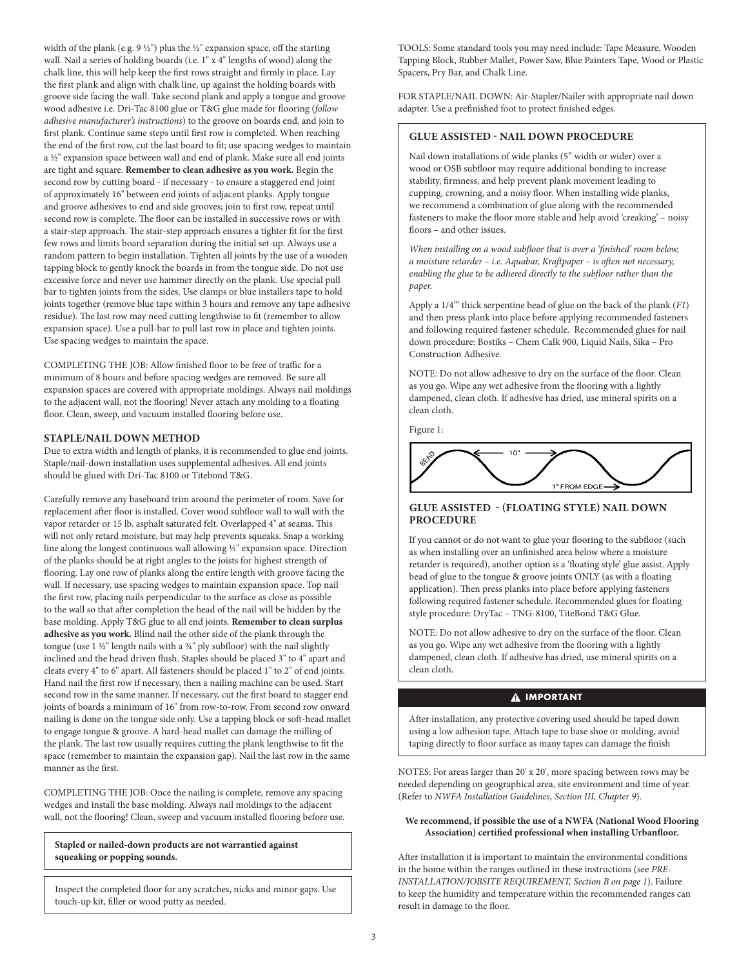width of the plank (e.g. 9  $\frac{1}{2}$ ") plus the  $\frac{1}{2}$ " expansion space, off the starting wall. Nail a series of holding boards (i.e. 1" x 4" lengths of wood) along the chalk line, this will help keep the first rows straight and firmly in place. Lay the first plank and align with chalk line, up against the holding boards with groove side facing the wall. Take second plank and apply a tongue and groove wood adhesive i.e. Dri-Tac 8100 glue or T&G glue made for flooring (*follow adhesive manufacturer's instructions*) to the groove on boards end, and join to first plank. Continue same steps until first row is completed. When reaching the end of the first row, cut the last board to fit; use spacing wedges to maintain a 1/2" expansion space between wall and end of plank. Make sure all end joints are tight and square. **Remember to clean adhesive as you work.** Begin the second row by cutting board - if necessary - to ensure a staggered end joint of approximately 16" between end joints of adjacent planks. Apply tongue and groove adhesives to end and side grooves; join to first row, repeat until second row is complete. The floor can be installed in successive rows or with a stair-step approach. The stair-step approach ensures a tighter fit for the first few rows and limits board separation during the initial set-up. Always use a random pattern to begin installation. Tighten all joints by the use of a wooden tapping block to gently knock the boards in from the tongue side. Do not use excessive force and never use hammer directly on the plank. Use special pull bar to tighten joints from the sides. Use clamps or blue installers tape to hold joints together (remove blue tape within 3 hours and remove any tape adhesive residue). The last row may need cutting lengthwise to fit (remember to allow expansion space). Use a pull-bar to pull last row in place and tighten joints. Use spacing wedges to maintain the space.

COMPLETING THE JOB: Allow finished floor to be free of traffic for a minimum of 8 hours and before spacing wedges are removed. Be sure all expansion spaces are covered with appropriate moldings. Always nail moldings to the adjacent wall, not the flooring! Never attach any molding to a floating floor. Clean, sweep, and vacuum installed flooring before use.

## **STAPLE/NAIL DOWN METHOD**

Due to extra width and length of planks, it is recommended to glue end joints. Staple/nail-down installation uses supplemental adhesives. All end joints should be glued with Dri-Tac 8100 or Titebond T&G.

Carefully remove any baseboard trim around the perimeter of room. Save for replacement after floor is installed. Cover wood subfloor wall to wall with the vapor retarder or 15 lb. asphalt saturated felt. Overlapped 4" at seams. This will not only retard moisture, but may help prevents squeaks. Snap a working line along the longest continuous wall allowing  $\frac{1}{2}$ " expansion space. Direction of the planks should be at right angles to the joists for highest strength of flooring. Lay one row of planks along the entire length with groove facing the wall. If necessary, use spacing wedges to maintain expansion space. Top nail the first row, placing nails perpendicular to the surface as close as possible to the wall so that after completion the head of the nail will be hidden by the base molding. Apply T&G glue to all end joints. **Remember to clean surplus adhesive as you work.** Blind nail the other side of the plank through the tongue (use 1 1/2" length nails with a 3/4" ply subfloor) with the nail slightly inclined and the head driven flush. Staples should be placed 3" to 4" apart and cleats every 4" to 6" apart. All fasteners should be placed 1" to 2" of end joints. Hand nail the first row if necessary, then a nailing machine can be used. Start second row in the same manner. If necessary, cut the first board to stagger end joints of boards a minimum of 16" from row-to-row. From second row onward nailing is done on the tongue side only. Use a tapping block or soft-head mallet to engage tongue & groove. A hard-head mallet can damage the milling of the plank. The last row usually requires cutting the plank lengthwise to fit the space (remember to maintain the expansion gap). Nail the last row in the same manner as the first.

COMPLETING THE JOB: Once the nailing is complete, remove any spacing wedges and install the base molding. Always nail moldings to the adjacent wall, not the flooring! Clean, sweep and vacuum installed flooring before use.

**Stapled or nailed-down products are not warrantied against squeaking or popping sounds.**

Inspect the completed floor for any scratches, nicks and minor gaps. Use touch-up kit, filler or wood putty as needed.

TOOLS: Some standard tools you may need include: Tape Measure, Wooden Tapping Block, Rubber Mallet, Power Saw, Blue Painters Tape, Wood or Plastic Spacers, Pry Bar, and Chalk Line.

FOR STAPLE/NAIL DOWN: Air-Stapler/Nailer with appropriate nail down adapter. Use a prefinished foot to protect finished edges.

### **GLUE ASSISTED - NAIL DOWN PROCEDURE**

Nail down installations of wide planks (5" width or wider) over a wood or OSB subfloor may require additional bonding to increase stability, firmness, and help prevent plank movement leading to cupping, crowning, and a noisy floor. When installing wide planks, we recommend a combination of glue along with the recommended fasteners to make the floor more stable and help avoid 'creaking' – noisy floors – and other issues.

*When installing on a wood subfloor that is over a 'finished' room below, a moisture retarder – i.e. Aquabar, Kraftpaper – is often not necessary, enabling the glue to be adhered directly to the subfloor rather than the paper.* 

Apply a 1/4'" thick serpentine bead of glue on the back of the plank (*F1*) and then press plank into place before applying recommended fasteners and following required fastener schedule. Recommended glues for nail down procedure: Bostiks – Chem Calk 900, Liquid Nails, Sika – Pro Construction Adhesive.

NOTE: Do not allow adhesive to dry on the surface of the floor. Clean as you go. Wipe any wet adhesive from the flooring with a lightly dampened, clean cloth. If adhesive has dried, use mineral spirits on a clean cloth.

Figure 1:



## **GLUE ASSISTED - (FLOATING STYLE) NAIL DOWN PROCEDURE**

If you cannot or do not want to glue your flooring to the subfloor (such as when installing over an unfinished area below where a moisture retarder is required), another option is a 'floating style' glue assist. Apply bead of glue to the tongue & groove joints ONLY (as with a floating application). Then press planks into place before applying fasteners following required fastener schedule. Recommended glues for floating style procedure: DryTac – TNG-8100, TiteBond T&G Glue.

NOTE: Do not allow adhesive to dry on the surface of the floor. Clean as you go. Wipe any wet adhesive from the flooring with a lightly dampened, clean cloth. If adhesive has dried, use mineral spirits on a clean cloth.

## **A IMPORTANT**

After installation, any protective covering used should be taped down using a low adhesion tape. Attach tape to base shoe or molding, avoid taping directly to floor surface as many tapes can damage the finish

NOTES: For areas larger than 20' x 20', more spacing between rows may be needed depending on geographical area, site environment and time of year. (Refer to *NWFA Installation Guidelines, Section III, Chapter 9*).

#### **We recommend, if possible the use of a NWFA (National Wood Flooring Association) certified professional when installing Urbanfloor.**

After installation it is important to maintain the environmental conditions in the home within the ranges outlined in these instructions (see *PRE-INSTALLATION/JOBSITE REQUIREMENT, Section B on page 1*). Failure to keep the humidity and temperature within the recommended ranges can result in damage to the floor.